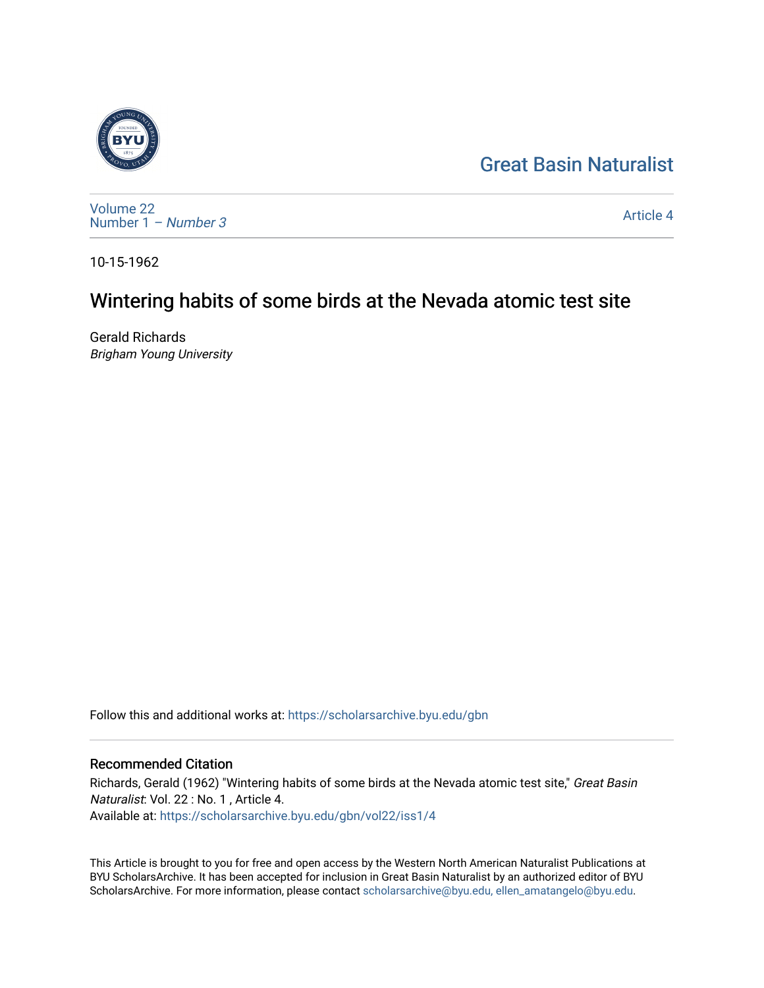## [Great Basin Naturalist](https://scholarsarchive.byu.edu/gbn)



[Volume 22](https://scholarsarchive.byu.edu/gbn/vol22) [Number 1](https://scholarsarchive.byu.edu/gbn/vol22/iss1) – Number 3

[Article 4](https://scholarsarchive.byu.edu/gbn/vol22/iss1/4) 

10-15-1962

# Wintering habits of some birds at the Nevada atomic test site

Gerald Richards Brigham Young University

Follow this and additional works at: [https://scholarsarchive.byu.edu/gbn](https://scholarsarchive.byu.edu/gbn?utm_source=scholarsarchive.byu.edu%2Fgbn%2Fvol22%2Fiss1%2F4&utm_medium=PDF&utm_campaign=PDFCoverPages) 

## Recommended Citation

Richards, Gerald (1962) "Wintering habits of some birds at the Nevada atomic test site," Great Basin Naturalist: Vol. 22 : No. 1 , Article 4. Available at: [https://scholarsarchive.byu.edu/gbn/vol22/iss1/4](https://scholarsarchive.byu.edu/gbn/vol22/iss1/4?utm_source=scholarsarchive.byu.edu%2Fgbn%2Fvol22%2Fiss1%2F4&utm_medium=PDF&utm_campaign=PDFCoverPages)

This Article is brought to you for free and open access by the Western North American Naturalist Publications at BYU ScholarsArchive. It has been accepted for inclusion in Great Basin Naturalist by an authorized editor of BYU ScholarsArchive. For more information, please contact [scholarsarchive@byu.edu, ellen\\_amatangelo@byu.edu.](mailto:scholarsarchive@byu.edu,%20ellen_amatangelo@byu.edu)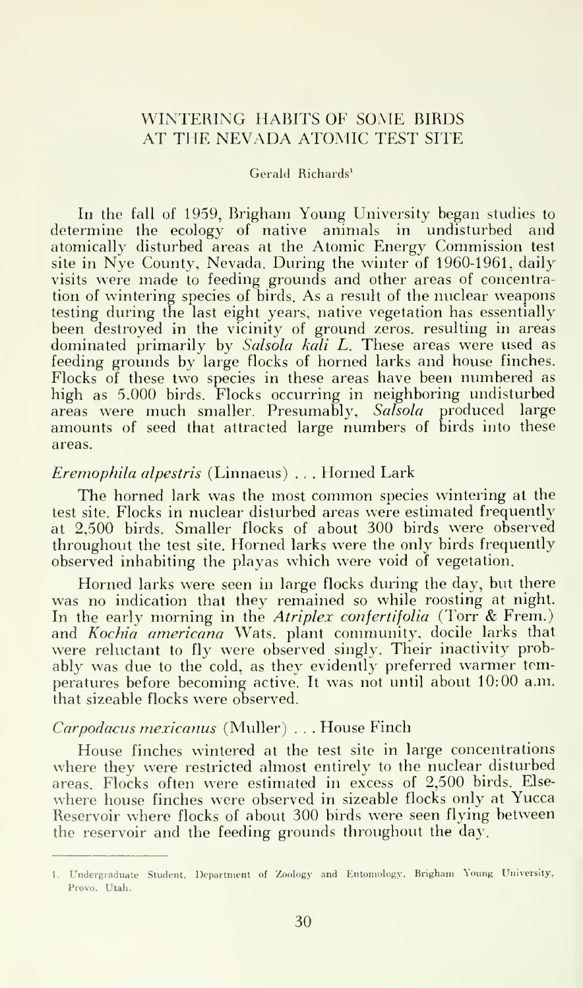### WINTERING HABITS OF SOME BIRDS AT THE NEVADA ATOMIC TEST SITE

#### Gerald Richards'

In the fall of 1959, Brighani Young University began studies to determine the ecology of native animals in undisturbed and atomically disturbed areas at the Atomic Energy Commission test site in Nye County, Nevada. During the winter of  $1960-1961$ , daily visits were made to feeding grounds and other areas of concentration of wintering species of birds. As a result of the nuclear weapons testing during the last eight years, native vegetation has essentially been destroyed in the vicinity of ground zeros, resulting in areas dominated primarily by Salsola kali L. These areas were used as feeding grounds by large flocks of horned larks and house finches. Flocks of these two species in these areas have been numbered as high as 5.000 birds. Flocks occurring in neighboring undisturbed areas were much smaller. Presumably, Salsola produced large amounts of seed that attracted large numbers of birds into these areas.

### Eremophila alpestris (Linnaeus) ... Horned Lark

The horned lark was the most common species wintering at the test site. Flocks in nuclear disturbed areas were estimated frequently at 2,500 birds. Smaller flocks of about 300 birds were observed throughout the test site. Horned larks were the only birds frequently observed inhabiting the playas which were void of vegetation.

Horned larks were seen in large flocks during the day, but there was no indication that they remained so while roosting at night. In the early morning in the Atriplex confertifolia (Torr & Frem.) and Kochia americana Wats, plant community, docile larks that were reluctant to fly were observed singly. Their inactivity probably was due to the cold, as they evidently preferred warmer temperatures before becoming active. It was not until about 10:00 a.m. that sizeable flocks were observed.

#### Carpodacus mexicanus (Muller) ... House Finch

House finches wintered at the test site in large concentrations where they were restricted almost entirely to the nuclear disturbed areas. Flocks often were estimated in excess of 2,500 birds. Else where house finches were observed in sizeable flocks only at Yucca Reservoir where flocks of about 300 birds were seen flying between the reservoir and the feeding grounds throughout the day.

<sup>1.</sup> Undergraduate Student. Department of Zoology and Entomology. Brigliam Young University. Prove, Utah.